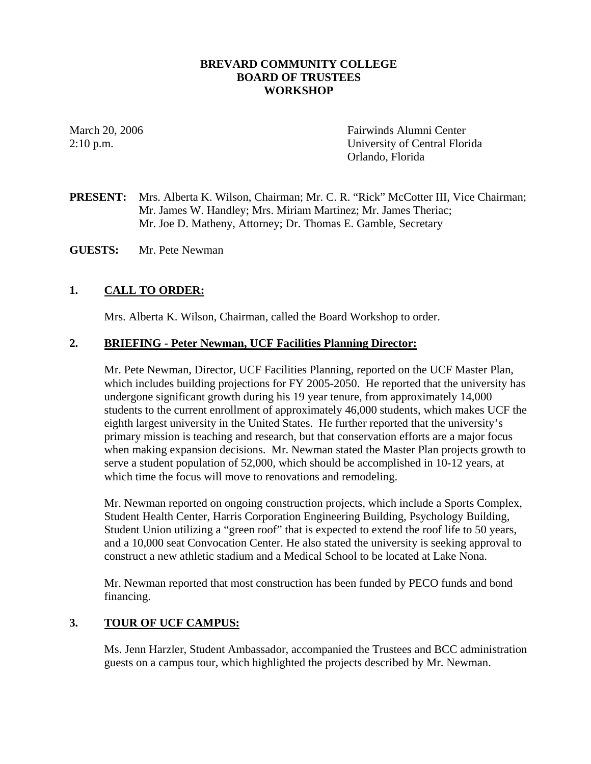## **BREVARD COMMUNITY COLLEGE BOARD OF TRUSTEES WORKSHOP**

March 20, 2006 Fairwinds Alumni Center 2:10 p.m. University of Central Florida Orlando, Florida

**PRESENT:** Mrs. Alberta K. Wilson, Chairman; Mr. C. R. "Rick" McCotter III, Vice Chairman; Mr. James W. Handley; Mrs. Miriam Martinez; Mr. James Theriac; Mr. Joe D. Matheny, Attorney; Dr. Thomas E. Gamble, Secretary

**GUESTS:** Mr. Pete Newman

# **1. CALL TO ORDER:**

Mrs. Alberta K. Wilson, Chairman, called the Board Workshop to order.

#### **2. BRIEFING - Peter Newman, UCF Facilities Planning Director:**

Mr. Pete Newman, Director, UCF Facilities Planning, reported on the UCF Master Plan, which includes building projections for FY 2005-2050. He reported that the university has undergone significant growth during his 19 year tenure, from approximately 14,000 students to the current enrollment of approximately 46,000 students, which makes UCF the eighth largest university in the United States. He further reported that the university's primary mission is teaching and research, but that conservation efforts are a major focus when making expansion decisions. Mr. Newman stated the Master Plan projects growth to serve a student population of 52,000, which should be accomplished in 10-12 years, at which time the focus will move to renovations and remodeling.

Mr. Newman reported on ongoing construction projects, which include a Sports Complex, Student Health Center, Harris Corporation Engineering Building, Psychology Building, Student Union utilizing a "green roof" that is expected to extend the roof life to 50 years, and a 10,000 seat Convocation Center. He also stated the university is seeking approval to construct a new athletic stadium and a Medical School to be located at Lake Nona.

Mr. Newman reported that most construction has been funded by PECO funds and bond financing.

## **3. TOUR OF UCF CAMPUS:**

Ms. Jenn Harzler, Student Ambassador, accompanied the Trustees and BCC administration guests on a campus tour, which highlighted the projects described by Mr. Newman.